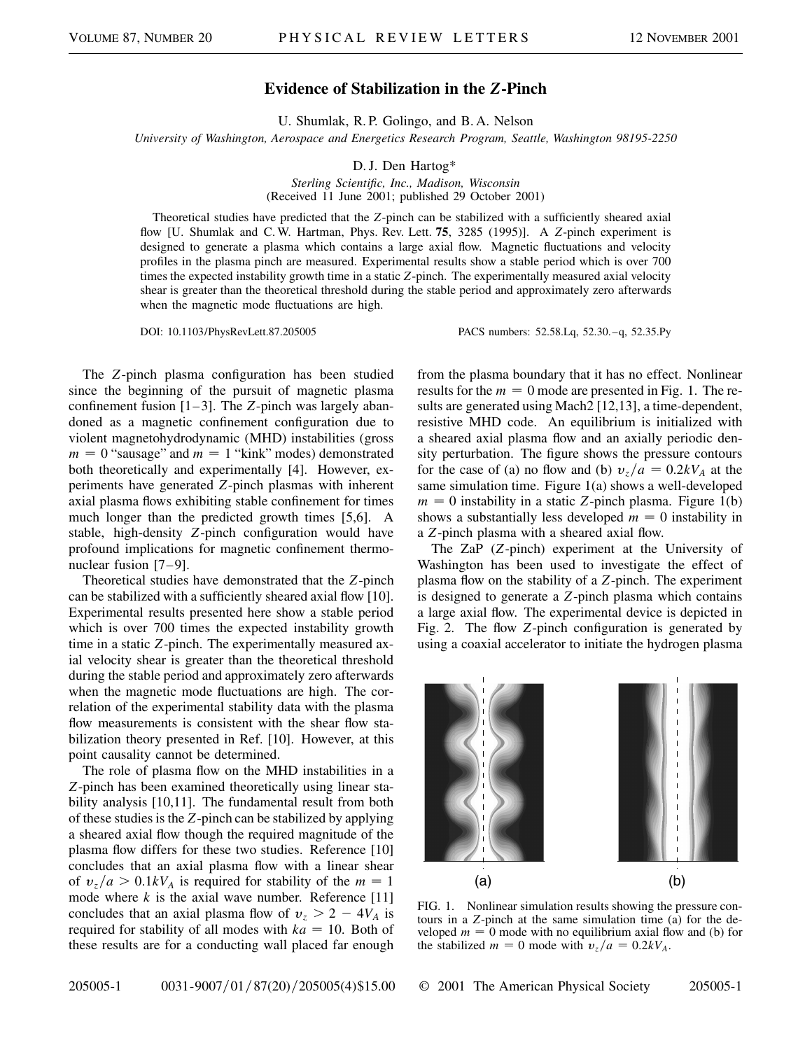## **Evidence of Stabilization in the** *Z***-Pinch**

U. Shumlak, R. P. Golingo, and B. A. Nelson

*University of Washington, Aerospace and Energetics Research Program, Seattle, Washington 98195-2250*

D. J. Den Hartog\*

*Sterling Scientific, Inc., Madison, Wisconsin* (Received 11 June 2001; published 29 October 2001)

Theoretical studies have predicted that the *Z*-pinch can be stabilized with a sufficiently sheared axial flow [U. Shumlak and C. W. Hartman, Phys. Rev. Lett. **75**, 3285 (1995)]. A *Z*-pinch experiment is designed to generate a plasma which contains a large axial flow. Magnetic fluctuations and velocity profiles in the plasma pinch are measured. Experimental results show a stable period which is over 700 times the expected instability growth time in a static *Z*-pinch. The experimentally measured axial velocity shear is greater than the theoretical threshold during the stable period and approximately zero afterwards when the magnetic mode fluctuations are high.

DOI: 10.1103/PhysRevLett.87.205005 PACS numbers: 52.58.Lq, 52.30.–q, 52.35.Py

from the plasma boundary that it has no effect. Nonlinear

The *Z*-pinch plasma configuration has been studied since the beginning of the pursuit of magnetic plasma confinement fusion [1–3]. The *Z*-pinch was largely abandoned as a magnetic confinement configuration due to violent magnetohydrodynamic (MHD) instabilities (gross  $m = 0$  "sausage" and  $m = 1$  "kink" modes) demonstrated both theoretically and experimentally [4]. However, experiments have generated *Z*-pinch plasmas with inherent axial plasma flows exhibiting stable confinement for times much longer than the predicted growth times [5,6]. A stable, high-density *Z*-pinch configuration would have profound implications for magnetic confinement thermonuclear fusion [7–9].

Theoretical studies have demonstrated that the *Z*-pinch can be stabilized with a sufficiently sheared axial flow [10]. Experimental results presented here show a stable period which is over 700 times the expected instability growth time in a static *Z*-pinch. The experimentally measured axial velocity shear is greater than the theoretical threshold during the stable period and approximately zero afterwards when the magnetic mode fluctuations are high. The correlation of the experimental stability data with the plasma flow measurements is consistent with the shear flow stabilization theory presented in Ref. [10]. However, at this point causality cannot be determined.

The role of plasma flow on the MHD instabilities in a *Z*-pinch has been examined theoretically using linear stability analysis [10,11]. The fundamental result from both of these studies is the *Z*-pinch can be stabilized by applying a sheared axial flow though the required magnitude of the plasma flow differs for these two studies. Reference [10] concludes that an axial plasma flow with a linear shear of  $v_z/a > 0.1kV_A$  is required for stability of the  $m = 1$ mode where  $k$  is the axial wave number. Reference [11] concludes that an axial plasma flow of  $v_z > 2 - 4V_A$  is required for stability of all modes with  $ka = 10$ . Both of these results are for a conducting wall placed far enough results for the  $m = 0$  mode are presented in Fig. 1. The results are generated using Mach2 [12,13], a time-dependent, resistive MHD code. An equilibrium is initialized with a sheared axial plasma flow and an axially periodic density perturbation. The figure shows the pressure contours for the case of (a) no flow and (b)  $v_z/a = 0.2kV_A$  at the same simulation time. Figure 1(a) shows a well-developed  $m = 0$  instability in a static *Z*-pinch plasma. Figure 1(b) shows a substantially less developed  $m = 0$  instability in a *Z*-pinch plasma with a sheared axial flow.

The ZaP (*Z*-pinch) experiment at the University of Washington has been used to investigate the effect of plasma flow on the stability of a *Z*-pinch. The experiment is designed to generate a *Z*-pinch plasma which contains a large axial flow. The experimental device is depicted in Fig. 2. The flow *Z*-pinch configuration is generated by using a coaxial accelerator to initiate the hydrogen plasma



FIG. 1. Nonlinear simulation results showing the pressure contours in a *Z*-pinch at the same simulation time (a) for the developed  $m = 0$  mode with no equilibrium axial flow and (b) for the stabilized  $m = 0$  mode with  $v_z/a = 0.2kV_A$ .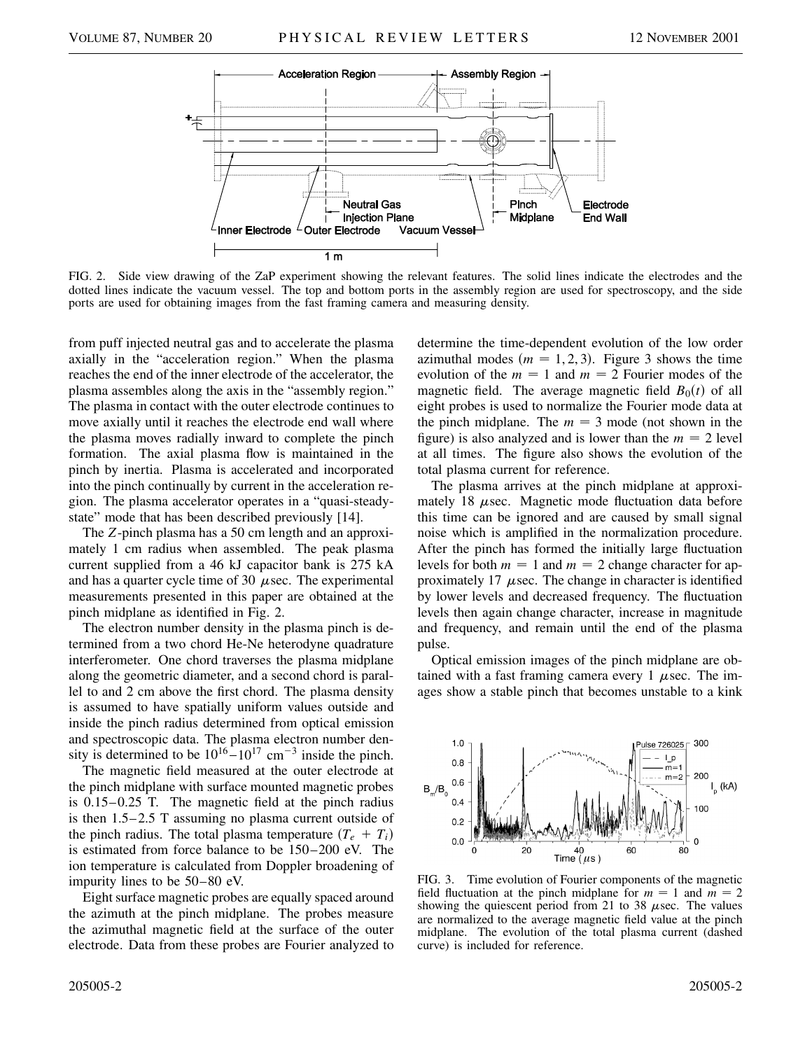

FIG. 2. Side view drawing of the ZaP experiment showing the relevant features. The solid lines indicate the electrodes and the dotted lines indicate the vacuum vessel. The top and bottom ports in the assembly region are used for spectroscopy, and the side ports are used for obtaining images from the fast framing camera and measuring density.

from puff injected neutral gas and to accelerate the plasma axially in the "acceleration region." When the plasma reaches the end of the inner electrode of the accelerator, the plasma assembles along the axis in the "assembly region." The plasma in contact with the outer electrode continues to move axially until it reaches the electrode end wall where the plasma moves radially inward to complete the pinch formation. The axial plasma flow is maintained in the pinch by inertia. Plasma is accelerated and incorporated into the pinch continually by current in the acceleration region. The plasma accelerator operates in a "quasi-steadystate" mode that has been described previously [14].

The *Z*-pinch plasma has a 50 cm length and an approximately 1 cm radius when assembled. The peak plasma current supplied from a 46 kJ capacitor bank is 275 kA and has a quarter cycle time of 30  $\mu$ sec. The experimental measurements presented in this paper are obtained at the pinch midplane as identified in Fig. 2.

The electron number density in the plasma pinch is determined from a two chord He-Ne heterodyne quadrature interferometer. One chord traverses the plasma midplane along the geometric diameter, and a second chord is parallel to and 2 cm above the first chord. The plasma density is assumed to have spatially uniform values outside and inside the pinch radius determined from optical emission and spectroscopic data. The plasma electron number density is determined to be  $10^{16} - 10^{17}$  cm<sup>-3</sup> inside the pinch.

The magnetic field measured at the outer electrode at the pinch midplane with surface mounted magnetic probes is 0.15–0.25 T. The magnetic field at the pinch radius is then 1.5–2.5 T assuming no plasma current outside of the pinch radius. The total plasma temperature  $(T_e + T_i)$ is estimated from force balance to be 150–200 eV. The ion temperature is calculated from Doppler broadening of impurity lines to be 50–80 eV.

Eight surface magnetic probes are equally spaced around the azimuth at the pinch midplane. The probes measure the azimuthal magnetic field at the surface of the outer electrode. Data from these probes are Fourier analyzed to determine the time-dependent evolution of the low order azimuthal modes  $(m = 1, 2, 3)$ . Figure 3 shows the time evolution of the  $m = 1$  and  $m = 2$  Fourier modes of the magnetic field. The average magnetic field  $B_0(t)$  of all eight probes is used to normalize the Fourier mode data at the pinch midplane. The  $m = 3$  mode (not shown in the figure) is also analyzed and is lower than the  $m = 2$  level at all times. The figure also shows the evolution of the total plasma current for reference.

The plasma arrives at the pinch midplane at approximately 18  $\mu$ sec. Magnetic mode fluctuation data before this time can be ignored and are caused by small signal noise which is amplified in the normalization procedure. After the pinch has formed the initially large fluctuation levels for both  $m = 1$  and  $m = 2$  change character for approximately 17  $\mu$ sec. The change in character is identified by lower levels and decreased frequency. The fluctuation levels then again change character, increase in magnitude and frequency, and remain until the end of the plasma pulse.

Optical emission images of the pinch midplane are obtained with a fast framing camera every 1  $\mu$ sec. The images show a stable pinch that becomes unstable to a kink



FIG. 3. Time evolution of Fourier components of the magnetic field fluctuation at the pinch midplane for  $m = 1$  and  $m = 2$ showing the quiescent period from 21 to 38  $\mu$ sec. The values are normalized to the average magnetic field value at the pinch midplane. The evolution of the total plasma current (dashed curve) is included for reference.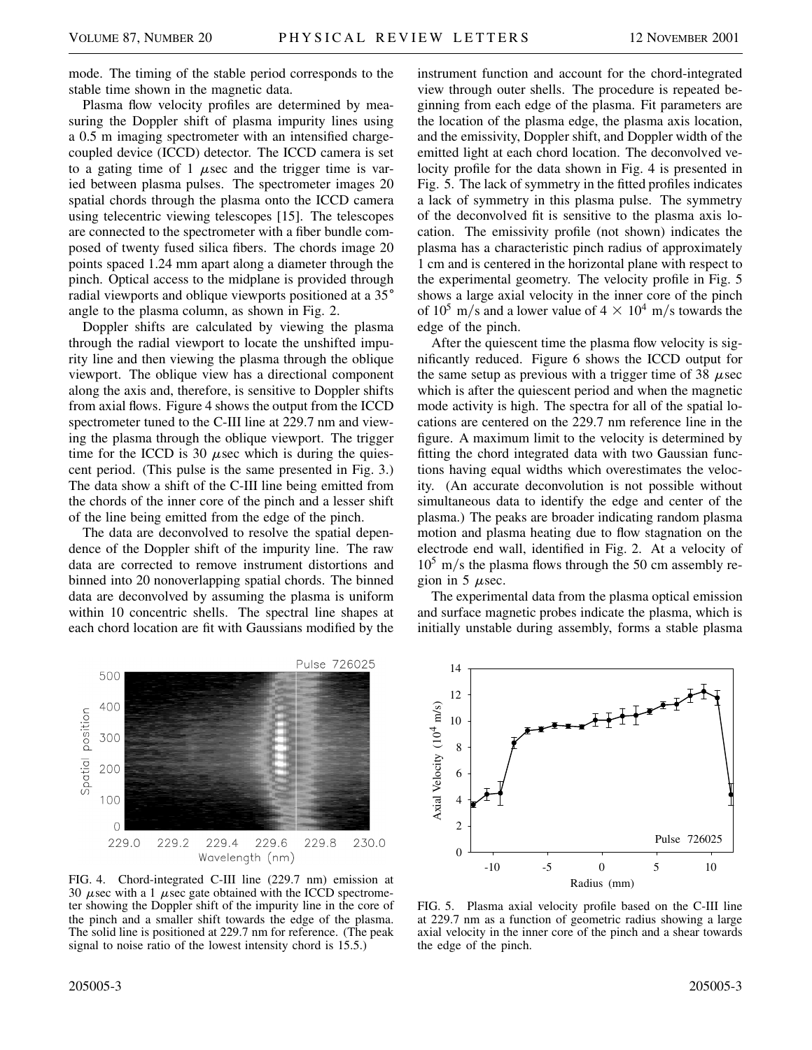mode. The timing of the stable period corresponds to the stable time shown in the magnetic data.

Plasma flow velocity profiles are determined by measuring the Doppler shift of plasma impurity lines using a 0.5 m imaging spectrometer with an intensified chargecoupled device (ICCD) detector. The ICCD camera is set to a gating time of 1  $\mu$ sec and the trigger time is varied between plasma pulses. The spectrometer images 20 spatial chords through the plasma onto the ICCD camera using telecentric viewing telescopes [15]. The telescopes are connected to the spectrometer with a fiber bundle composed of twenty fused silica fibers. The chords image 20 points spaced 1.24 mm apart along a diameter through the pinch. Optical access to the midplane is provided through radial viewports and oblique viewports positioned at a 35<sup>°</sup> angle to the plasma column, as shown in Fig. 2.

Doppler shifts are calculated by viewing the plasma through the radial viewport to locate the unshifted impurity line and then viewing the plasma through the oblique viewport. The oblique view has a directional component along the axis and, therefore, is sensitive to Doppler shifts from axial flows. Figure 4 shows the output from the ICCD spectrometer tuned to the C-III line at 229.7 nm and viewing the plasma through the oblique viewport. The trigger time for the ICCD is 30  $\mu$ sec which is during the quiescent period. (This pulse is the same presented in Fig. 3.) The data show a shift of the C-III line being emitted from the chords of the inner core of the pinch and a lesser shift of the line being emitted from the edge of the pinch.

The data are deconvolved to resolve the spatial dependence of the Doppler shift of the impurity line. The raw data are corrected to remove instrument distortions and binned into 20 nonoverlapping spatial chords. The binned data are deconvolved by assuming the plasma is uniform within 10 concentric shells. The spectral line shapes at each chord location are fit with Gaussians modified by the instrument function and account for the chord-integrated view through outer shells. The procedure is repeated beginning from each edge of the plasma. Fit parameters are the location of the plasma edge, the plasma axis location, and the emissivity, Doppler shift, and Doppler width of the emitted light at each chord location. The deconvolved velocity profile for the data shown in Fig. 4 is presented in Fig. 5. The lack of symmetry in the fitted profiles indicates a lack of symmetry in this plasma pulse. The symmetry of the deconvolved fit is sensitive to the plasma axis location. The emissivity profile (not shown) indicates the plasma has a characteristic pinch radius of approximately 1 cm and is centered in the horizontal plane with respect to the experimental geometry. The velocity profile in Fig. 5 shows a large axial velocity in the inner core of the pinch of  $10^5$  m/s and a lower value of  $4 \times 10^4$  m/s towards the edge of the pinch.

After the quiescent time the plasma flow velocity is significantly reduced. Figure 6 shows the ICCD output for the same setup as previous with a trigger time of 38  $\mu$ sec which is after the quiescent period and when the magnetic mode activity is high. The spectra for all of the spatial locations are centered on the 229.7 nm reference line in the figure. A maximum limit to the velocity is determined by fitting the chord integrated data with two Gaussian functions having equal widths which overestimates the velocity. (An accurate deconvolution is not possible without simultaneous data to identify the edge and center of the plasma.) The peaks are broader indicating random plasma motion and plasma heating due to flow stagnation on the electrode end wall, identified in Fig. 2. At a velocity of  $10^5$  m/s the plasma flows through the 50 cm assembly region in 5  $\mu$  sec.

The experimental data from the plasma optical emission and surface magnetic probes indicate the plasma, which is initially unstable during assembly, forms a stable plasma



FIG. 4. Chord-integrated C-III line (229.7 nm) emission at 30  $\mu$ sec with a 1  $\mu$ sec gate obtained with the ICCD spectrometer showing the Doppler shift of the impurity line in the core of the pinch and a smaller shift towards the edge of the plasma. The solid line is positioned at 229.7 nm for reference. (The peak signal to noise ratio of the lowest intensity chord is 15.5.)



FIG. 5. Plasma axial velocity profile based on the C-III line at 229.7 nm as a function of geometric radius showing a large axial velocity in the inner core of the pinch and a shear towards the edge of the pinch.